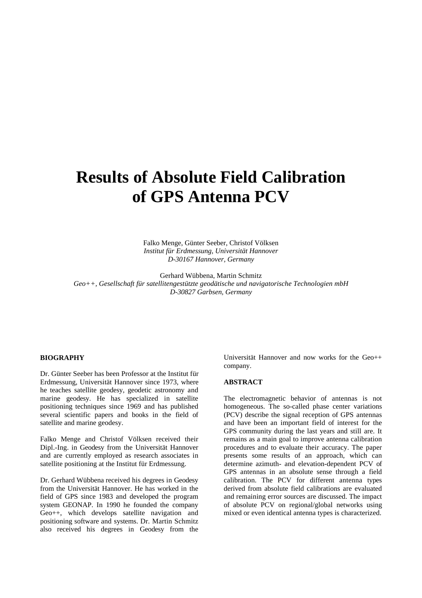# **Results of Absolute Field Calibration of GPS Antenna PCV**

Falko Menge, Günter Seeber, Christof Völksen *Institut für Erdmessung, Universität Hannover D-30167 Hannover, Germany*

Gerhard Wübbena, Martin Schmitz *Geo++, Gesellschaft für satellitengestützte geodätische und navigatorische Technologien mbH D-30827 Garbsen, Germany*

#### **BIOGRAPHY**

Dr. Günter Seeber has been Professor at the Institut für Erdmessung, Universität Hannover since 1973, where he teaches satellite geodesy, geodetic astronomy and marine geodesy. He has specialized in satellite positioning techniques since 1969 and has published several scientific papers and books in the field of satellite and marine geodesy.

Falko Menge and Christof Völksen received their Dipl.-Ing. in Geodesy from the Universität Hannover and are currently employed as research associates in satellite positioning at the Institut für Erdmessung.

Dr. Gerhard Wübbena received his degrees in Geodesy from the Universität Hannover. He has worked in the field of GPS since 1983 and developed the program system GEONAP. In 1990 he founded the company Geo++, which develops satellite navigation and positioning software and systems. Dr. Martin Schmitz also received his degrees in Geodesy from the Universität Hannover and now works for the Geo++ company.

#### **ABSTRACT**

The electromagnetic behavior of antennas is not homogeneous. The so-called phase center variations (PCV) describe the signal reception of GPS antennas and have been an important field of interest for the GPS community during the last years and still are. It remains as a main goal to improve antenna calibration procedures and to evaluate their accuracy. The paper presents some results of an approach, which can determine azimuth- and elevation-dependent PCV of GPS antennas in an absolute sense through a field calibration. The PCV for different antenna types derived from absolute field calibrations are evaluated and remaining error sources are discussed. The impact of absolute PCV on regional/global networks using mixed or even identical antenna types is characterized.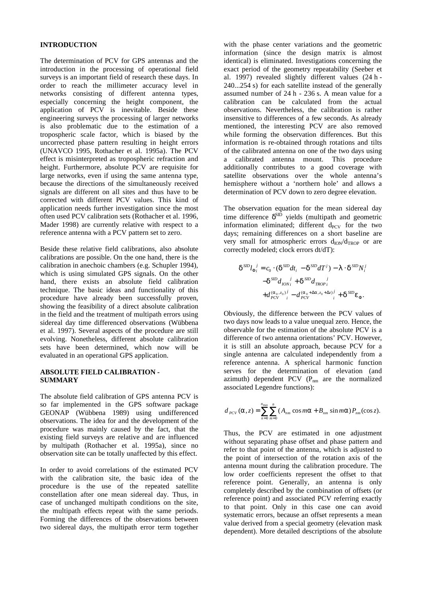# **INTRODUCTION**

The determination of PCV for GPS antennas and the introduction in the processing of operational field surveys is an important field of research these days. In order to reach the millimeter accuracy level in networks consisting of different antenna types, especially concerning the height component, the application of PCV is inevitable. Beside these engineering surveys the processing of larger networks is also problematic due to the estimation of a tropospheric scale factor, which is biased by the uncorrected phase pattern resulting in height errors (UNAVCO 1995, Rothacher et al. 1995a). The PCV effect is misinterpreted as tropospheric refraction and height. Furthermore, absolute PCV are requisite for large networks, even if using the same antenna type, because the directions of the simultaneously received signals are different on all sites and thus have to be corrected with different PCV values. This kind of application needs further investigation since the most often used PCV calibration sets (Rothacher et al. 1996, Mader 1998) are currently relative with respect to a reference antenna with a PCV pattern set to zero.

Beside these relative field calibrations, also absolute calibrations are possible. On the one hand, there is the calibration in anechoic chambers (e.g. Schupler 1994), which is using simulated GPS signals. On the other hand, there exists an absolute field calibration technique. The basic ideas and functionality of this procedure have already been successfully proven, showing the feasibility of a direct absolute calibration in the field and the treatment of multipath errors using sidereal day time differenced observations (Wübbena et al. 1997). Several aspects of the procedure are still evolving. Nonetheless, different absolute calibration sets have been determined, which now will be evaluated in an operational GPS application.

#### **ABSOLUTE FIELD CALIBRATION - SUMMARY**

The absolute field calibration of GPS antenna PCV is so far implemented in the GPS software package GEONAP (Wübbena 1989) using undifferenced observations. The idea for and the development of the procedure was mainly caused by the fact, that the existing field surveys are relative and are influenced by multipath (Rothacher et al. 1995a), since no observation site can be totally unaffected by this effect.

In order to avoid correlations of the estimated PCV with the calibration site, the basic idea of the procedure is the use of the repeated satellite constellation after one mean sidereal day. Thus, in case of unchanged multipath conditions on the site, the multipath effects repeat with the same periods. Forming the differences of the observations between two sidereal days, the multipath error term together with the phase center variations and the geometric information (since the design matrix is almost identical) is eliminated. Investigations concerning the exact period of the geometry repeatability (Seeber et al. 1997) revealed slightly different values (24 h - 240...254 s) for each satellite instead of the generally assumed number of 24 h - 236 s. A mean value for a calibration can be calculated from the actual observations. Nevertheless, the calibration is rather insensitive to differences of a few seconds. As already mentioned, the interesting PCV are also removed while forming the observation differences. But this information is re-obtained through rotations and tilts of the calibrated antenna on one of the two days using a calibrated antenna mount. This procedure additionally contributes to a good coverage with satellite observations over the whole antenna's hemisphere without a 'northern hole' and allows a determination of PCV down to zero degree elevation.

The observation equation for the mean sidereal day time difference  $\delta^{\text{SID}}$  yields (multipath and geometric information eliminated; different  $d_{PCV}$  for the two days; remaining differences on a short baseline are very small for atmospheric errors  $d_{ION}/d_{TROP}$  or are correctly modeled; clock errors dt/dT):

$$
\delta^{SD} l_{\Phi_i}^{\ j} = c_0 \cdot (\delta^{SD} dt_i - \delta^{SD} dT^j) - \lambda \cdot \delta^{SD} N_i^j
$$
  

$$
- \delta^{SD} d_{ION_i}^{\ j} + \delta^{SD} d_{TROP_i}^{\ j}
$$
  

$$
+ d_{PCV}^{(\alpha_0, z_0)^j} - d_{PCV}^{(\alpha_0 + \Delta \alpha, z_0 + \Delta z)^j} + \delta^{SD} \varepsilon_{\Phi}.
$$

Obviously, the difference between the PCV values of two days now leads to a value unequal zero. Hence, the observable for the estimation of the absolute PCV is a difference of two antenna orientations' PCV. However, it is still an absolute approach, because PCV for a single antenna are calculated independently from a reference antenna. A spherical harmonic function serves for the determination of elevation (and azimuth) dependent PCV  $(P_{nm}$  are the normalized associated Legendre functions):

$$
d_{PCV}(\alpha, z) = \sum_{n=0}^{n_{\text{max}}} \sum_{m=0}^{n} (A_{nm} \cos m\alpha + B_{nm} \sin m\alpha) P_{nm}(\cos z).
$$

Thus, the PCV are estimated in one adjustment without separating phase offset and phase pattern and refer to that point of the antenna, which is adjusted to the point of intersection of the rotation axis of the antenna mount during the calibration procedure. The low order coefficients represent the offset to that reference point. Generally, an antenna is only completely described by the combination of offsets (or reference point) and associated PCV referring exactly to that point. Only in this case one can avoid systematic errors, because an offset represents a mean value derived from a special geometry (elevation mask dependent). More detailed descriptions of the absolute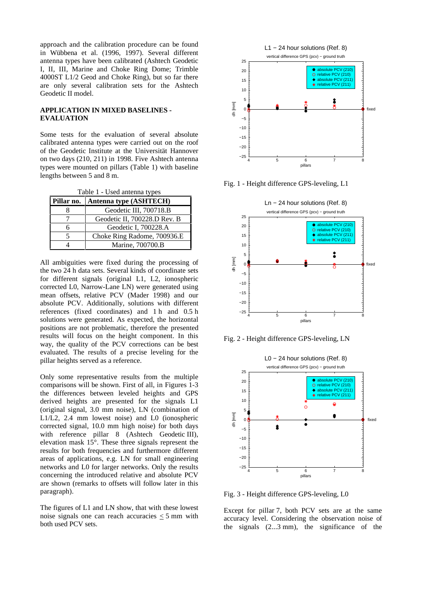approach and the calibration procedure can be found in Wübbena et al. (1996, 1997). Several different antenna types have been calibrated (Ashtech Geodetic I, II, III, Marine and Choke Ring Dome; Trimble 4000ST L1/2 Geod and Choke Ring), but so far there are only several calibration sets for the Ashtech Geodetic II model.

# **APPLICATION IN MIXED BASELINES - EVALUATION**

Some tests for the evaluation of several absolute calibrated antenna types were carried out on the roof of the Geodetic Institute at the Universität Hannover on two days (210, 211) in 1998. Five Ashtech antenna types were mounted on pillars (Table 1) with baseline lengths between 5 and 8 m.

Table 1 - Used antenna types

| Pillar no. | <b>Antenna type (ASHTECH)</b> |  |  |
|------------|-------------------------------|--|--|
|            | Geodetic III, 700718.B        |  |  |
|            | Geodetic II, 700228.D Rev. B  |  |  |
|            | Geodetic I, 700228.A          |  |  |
|            | Choke Ring Radome, 700936.E   |  |  |
|            | Marine, 700700.B              |  |  |

All ambiguities were fixed during the processing of the two 24 h data sets. Several kinds of coordinate sets for different signals (original L1, L2, ionospheric corrected L0, Narrow-Lane LN) were generated using mean offsets, relative PCV (Mader 1998) and our absolute PCV. Additionally, solutions with different references (fixed coordinates) and 1 h and 0.5 h solutions were generated. As expected, the horizontal positions are not problematic, therefore the presented results will focus on the height component. In this way, the quality of the PCV corrections can be best evaluated. The results of a precise leveling for the pillar heights served as a reference.

Only some representative results from the multiple comparisons will be shown. First of all, in Figures 1-3 the differences between leveled heights and GPS derived heights are presented for the signals L1 (original signal, 3.0 mm noise), LN (combination of L1/L2, 2.4 mm lowest noise) and L0 (ionospheric corrected signal, 10.0 mm high noise) for both days with reference pillar 8 (Ashtech Geodetic III), elevation mask 15°. These three signals represent the results for both frequencies and furthermore different areas of applications, e.g. LN for small engineering networks and L0 for larger networks. Only the results concerning the introduced relative and absolute PCV are shown (remarks to offsets will follow later in this paragraph).

The figures of L1 and LN show, that with these lowest noise signals one can reach accuracies  $<$  5 mm with both used PCV sets.



Fig. 1 - Height difference GPS-leveling, L1



Fig. 2 - Height difference GPS-leveling, LN



Fig. 3 - Height difference GPS-leveling, L0

Except for pillar 7, both PCV sets are at the same accuracy level. Considering the observation noise of the signals (2...3 mm), the significance of the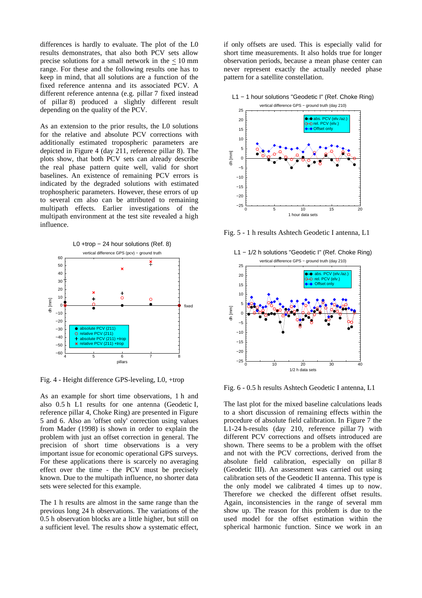differences is hardly to evaluate. The plot of the L0 results demonstrates, that also both PCV sets allow precise solutions for a small network in the < 10 mm range. For these and the following results one has to keep in mind, that all solutions are a function of the fixed reference antenna and its associated PCV. A different reference antenna (e.g. pillar 7 fixed instead of pillar 8) produced a slightly different result depending on the quality of the PCV.

As an extension to the prior results, the L0 solutions for the relative and absolute PCV corrections with additionally estimated tropospheric parameters are depicted in Figure 4 (day 211, reference pillar 8). The plots show, that both PCV sets can already describe the real phase pattern quite well, valid for short baselines. An existence of remaining PCV errors is indicated by the degraded solutions with estimated trophospheric parameters. However, these errors of up to several cm also can be attributed to remaining multipath effects. Earlier investigations of the multipath environment at the test site revealed a high influence.



Fig. 4 - Height difference GPS-leveling, L0, +trop

As an example for short time observations, 1 h and also 0.5 h L1 results for one antenna (Geodetic I, reference pillar 4, Choke Ring) are presented in Figure 5 and 6. Also an 'offset only' correction using values from Mader (1998) is shown in order to explain the problem with just an offset correction in general. The precision of short time observations is a very important issue for economic operational GPS surveys. For these applications there is scarcely no averaging effect over the time - the PCV must be precisely known. Due to the multipath influence, no shorter data sets were selected for this example.

The 1 h results are almost in the same range than the previous long 24 h observations. The variations of the 0.5 h observation blocks are a little higher, but still on a sufficient level. The results show a systematic effect, if only offsets are used. This is especially valid for short time measurements. It also holds true for longer observation periods, because a mean phase center can never represent exactly the actually needed phase pattern for a satellite constellation.



Fig. 5 - 1 h results Ashtech Geodetic I antenna, L1



Fig. 6 - 0.5 h results Ashtech Geodetic I antenna, L1

The last plot for the mixed baseline calculations leads to a short discussion of remaining effects within the procedure of absolute field calibration. In Figure 7 the L1-24 h-results (day 210, reference pillar 7) with different PCV corrections and offsets introduced are shown. There seems to be a problem with the offset and not with the PCV corrections, derived from the absolute field calibration, especially on pillar 8 (Geodetic III). An assessment was carried out using calibration sets of the Geodetic II antenna. This type is the only model we calibrated 4 times up to now. Therefore we checked the different offset results. Again, inconsistencies in the range of several mm show up. The reason for this problem is due to the used model for the offset estimation within the spherical harmonic function. Since we work in an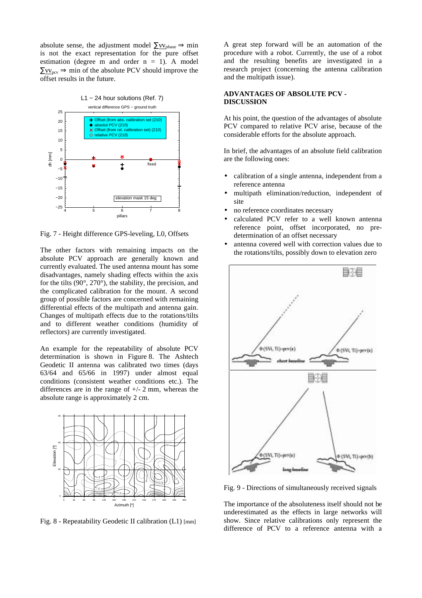absolute sense, the adjustment model  $\Sigma$ vv<sub>phase</sub> ⇒ min is not the exact representation for the pure offset estimation (degree m and order  $n = 1$ ). A model  $\Sigma v_{\text{rev}} \Rightarrow$  min of the absolute PCV should improve the offset results in the future.



Fig. 7 - Height difference GPS-leveling, L0, Offsets

The other factors with remaining impacts on the absolute PCV approach are generally known and currently evaluated. The used antenna mount has some disadvantages, namely shading effects within the axis for the tilts (90°, 270°), the stability, the precision, and the complicated calibration for the mount. A second group of possible factors are concerned with remaining differential effects of the multipath and antenna gain. Changes of multipath effects due to the rotations/tilts and to different weather conditions (humidity of reflectors) are currently investigated.

An example for the repeatability of absolute PCV determination is shown in Figure 8. The Ashtech Geodetic II antenna was calibrated two times (days 63/64 and 65/66 in 1997) under almost equal conditions (consistent weather conditions etc.). The differences are in the range of +/- 2 mm, whereas the absolute range is approximately 2 cm.



Fig. 8 - Repeatability Geodetic II calibration (L1) [mm]

A great step forward will be an automation of the procedure with a robot. Currently, the use of a robot and the resulting benefits are investigated in a research project (concerning the antenna calibration and the multipath issue).

#### **ADVANTAGES OF ABSOLUTE PCV - DISCUSSION**

At his point, the question of the advantages of absolute PCV compared to relative PCV arise, because of the considerable efforts for the absolute approach.

In brief, the advantages of an absolute field calibration are the following ones:

- calibration of a single antenna, independent from a reference antenna
- multipath elimination/reduction, independent of site
- no reference coordinates necessary
- calculated PCV refer to a well known antenna reference point, offset incorporated, no predetermination of an offset necessary
- antenna covered well with correction values due to the rotations/tilts, possibly down to elevation zero



Fig. 9 - Directions of simultaneously received signals

The importance of the absoluteness itself should not be underestimated as the effects in large networks will show. Since relative calibrations only represent the difference of PCV to a reference antenna with a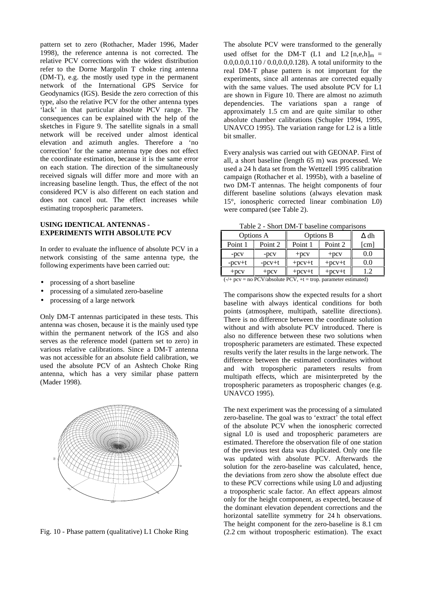pattern set to zero (Rothacher, Mader 1996, Mader 1998), the reference antenna is not corrected. The relative PCV corrections with the widest distribution refer to the Dorne Margolin T choke ring antenna (DM-T), e.g. the mostly used type in the permanent network of the International GPS Service for Geodynamics (IGS). Beside the zero correction of this type, also the relative PCV for the other antenna types 'lack' in that particular absolute PCV range. The consequences can be explained with the help of the sketches in Figure 9. The satellite signals in a small network will be received under almost identical elevation and azimuth angles. Therefore a 'no correction' for the same antenna type does not effect the coordinate estimation, because it is the same error on each station. The direction of the simultaneously received signals will differ more and more with an increasing baseline length. Thus, the effect of the not considered PCV is also different on each station and does not cancel out. The effect increases while estimating tropospheric parameters.

# **USING IDENTICAL ANTENNAS - EXPERIMENTS WITH ABSOLUTE PCV**

In order to evaluate the influence of absolute PCV in a network consisting of the same antenna type, the following experiments have been carried out:

- processing of a short baseline
- processing of a simulated zero-baseline
- processing of a large network

Only DM-T antennas participated in these tests. This antenna was chosen, because it is the mainly used type within the permanent network of the IGS and also serves as the reference model (pattern set to zero) in various relative calibrations. Since a DM-T antenna was not accessible for an absolute field calibration, we used the absolute PCV of an Ashtech Choke Ring antenna, which has a very similar phase pattern (Mader 1998).



Fig. 10 - Phase pattern (qualitative) L1 Choke Ring

The absolute PCV were transformed to the generally used offset for the DM-T (L1 and L2  $[n,e,h]_{m}$  = 0.0,0.0,0.110 / 0.0,0.0,0.128). A total uniformity to the real DM-T phase pattern is not important for the experiments, since all antennas are corrected equally with the same values. The used absolute PCV for L1 are shown in Figure 10. There are almost no azimuth dependencies. The variations span a range of approximately 1.5 cm and are quite similar to other absolute chamber calibrations (Schupler 1994, 1995, UNAVCO 1995). The variation range for L2 is a little bit smaller.

Every analysis was carried out with GEONAP. First of all, a short baseline (length 65 m) was processed. We used a 24 h data set from the Wettzell 1995 calibration campaign (Rothacher et al. 1995b), with a baseline of two DM-T antennas. The height components of four different baseline solutions (always elevation mask 15°, ionospheric corrected linear combination L0) were compared (see Table 2).

Table 2 - Short DM-T baseline comparisons

| Options A  |            | Options B |                    | ∆ dh |  |
|------------|------------|-----------|--------------------|------|--|
| Point 1    | Point 2    | Point 1   | Point <sub>2</sub> | [cm] |  |
| $-DCV$     | $-pcv$     | $+$ pcv   | $+$ pcv            | 0.0  |  |
| $-pcv+t$   | $-pcv+t$   | $+pcV+t$  | $+$ pcv $+$ t      | 0.0  |  |
| $+$ pc $V$ | $+$ pc $V$ | $+pcv+t$  | $+$ pc $v$ + $t$   | 1.2  |  |

 $(-/+)$  pcv = no PCV/absolute PCV,  $+t =$  trop. parameter estimated)

The comparisons show the expected results for a short baseline with always identical conditions for both points (atmosphere, multipath, satellite directions). There is no difference between the coordinate solution without and with absolute PCV introduced. There is also no difference between these two solutions when tropospheric parameters are estimated. These expected results verify the later results in the large network. The difference between the estimated coordinates without and with tropospheric parameters results from multipath effects, which are misinterpreted by the tropospheric parameters as tropospheric changes (e.g. UNAVCO 1995).

The next experiment was the processing of a simulated zero-baseline. The goal was to 'extract' the total effect of the absolute PCV when the ionospheric corrected signal L0 is used and tropospheric parameters are estimated. Therefore the observation file of one station of the previous test data was duplicated. Only one file was updated with absolute PCV. Afterwards the solution for the zero-baseline was calculated, hence, the deviations from zero show the absolute effect due to these PCV corrections while using L0 and adjusting a tropospheric scale factor. An effect appears almost only for the height component, as expected, because of the dominant elevation dependent corrections and the horizontal satellite symmetry for 24 h observations. The height component for the zero-baseline is 8.1 cm (2.2 cm without tropospheric estimation). The exact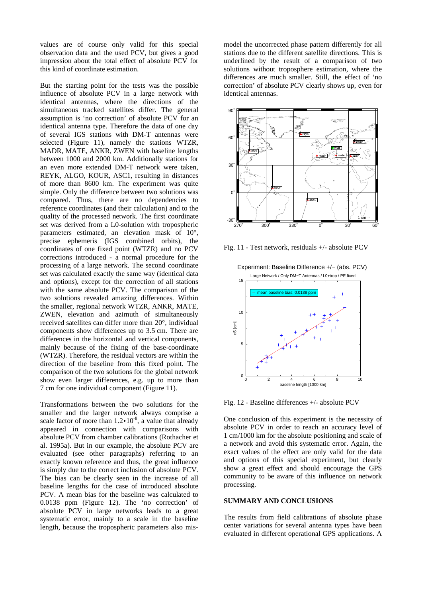values are of course only valid for this special observation data and the used PCV, but gives a good impression about the total effect of absolute PCV for this kind of coordinate estimation.

But the starting point for the tests was the possible influence of absolute PCV in a large network with identical antennas, where the directions of the simultaneous tracked satellites differ. The general assumption is 'no correction' of absolute PCV for an identical antenna type. Therefore the data of one day of several IGS stations with DM-T antennas were selected (Figure 11), namely the stations WTZR, MADR, MATE, ANKR, ZWEN with baseline lengths between 1000 and 2000 km. Additionally stations for an even more extended DM-T network were taken, REYK, ALGO, KOUR, ASC1, resulting in distances of more than 8600 km. The experiment was quite simple. Only the difference between two solutions was compared. Thus, there are no dependencies to reference coordinates (and their calculation) and to the quality of the processed network. The first coordinate set was derived from a L0-solution with tropospheric parameters estimated, an elevation mask of 10°, precise ephemeris (IGS combined orbits), the coordinates of one fixed point (WTZR) and no PCV corrections introduced - a normal procedure for the processing of a large network. The second coordinate set was calculated exactly the same way (identical data and options), except for the correction of all stations with the same absolute PCV. The comparison of the two solutions revealed amazing differences. Within the smaller, regional network WTZR, ANKR, MATE, ZWEN, elevation and azimuth of simultaneously received satellites can differ more than 20°, individual components show differences up to 3.5 cm. There are differences in the horizontal and vertical components, mainly because of the fixing of the base-coordinate (WTZR). Therefore, the residual vectors are within the direction of the baseline from this fixed point. The comparison of the two solutions for the global network show even larger differences, e.g. up to more than 7 cm for one individual component (Figure 11).

Transformations between the two solutions for the smaller and the larger network always comprise a scale factor of more than  $1.2 \cdot 10^{-8}$ , a value that already appeared in connection with comparisons with absolute PCV from chamber calibrations (Rothacher et al. 1995a). But in our example, the absolute PCV are evaluated (see other paragraphs) referring to an exactly known reference and thus, the great influence is simply due to the correct inclusion of absolute PCV. The bias can be clearly seen in the increase of all baseline lengths for the case of introduced absolute PCV. A mean bias for the baseline was calculated to 0.0138 ppm (Figure 12). The 'no correction' of absolute PCV in large networks leads to a great systematic error, mainly to a scale in the baseline length, because the tropospheric parameters also mismodel the uncorrected phase pattern differently for all stations due to the different satellite directions. This is underlined by the result of a comparison of two solutions without troposphere estimation, where the differences are much smaller. Still, the effect of 'no correction' of absolute PCV clearly shows up, even for identical antennas.



Fig. 11 - Test network, residuals +/- absolute PCV



Fig. 12 - Baseline differences +/- absolute PCV

One conclusion of this experiment is the necessity of absolute PCV in order to reach an accuracy level of 1 cm/1000 km for the absolute positioning and scale of a network and avoid this systematic error. Again, the exact values of the effect are only valid for the data and options of this special experiment, but clearly show a great effect and should encourage the GPS community to be aware of this influence on network processing.

# **SUMMARY AND CONCLUSIONS**

The results from field calibrations of absolute phase center variations for several antenna types have been evaluated in different operational GPS applications. A